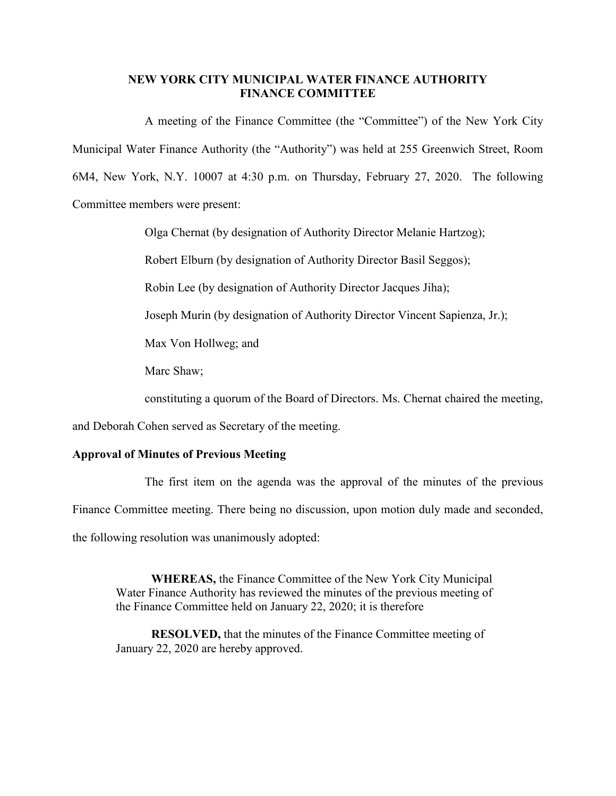## **NEW YORK CITY MUNICIPAL WATER FINANCE AUTHORITY FINANCE COMMITTEE**

A meeting of the Finance Committee (the "Committee") of the New York City Municipal Water Finance Authority (the "Authority") was held at 255 Greenwich Street, Room 6M4, New York, N.Y. 10007 at 4:30 p.m. on Thursday, February 27, 2020. The following Committee members were present:

Olga Chernat (by designation of Authority Director Melanie Hartzog);

Robert Elburn (by designation of Authority Director Basil Seggos);

Robin Lee (by designation of Authority Director Jacques Jiha);

Joseph Murin (by designation of Authority Director Vincent Sapienza, Jr.);

Max Von Hollweg; and

Marc Shaw;

constituting a quorum of the Board of Directors. Ms. Chernat chaired the meeting,

and Deborah Cohen served as Secretary of the meeting.

## **Approval of Minutes of Previous Meeting**

The first item on the agenda was the approval of the minutes of the previous Finance Committee meeting. There being no discussion, upon motion duly made and seconded, the following resolution was unanimously adopted:

**WHEREAS,** the Finance Committee of the New York City Municipal Water Finance Authority has reviewed the minutes of the previous meeting of the Finance Committee held on January 22, 2020; it is therefore

**RESOLVED,** that the minutes of the Finance Committee meeting of January 22, 2020 are hereby approved.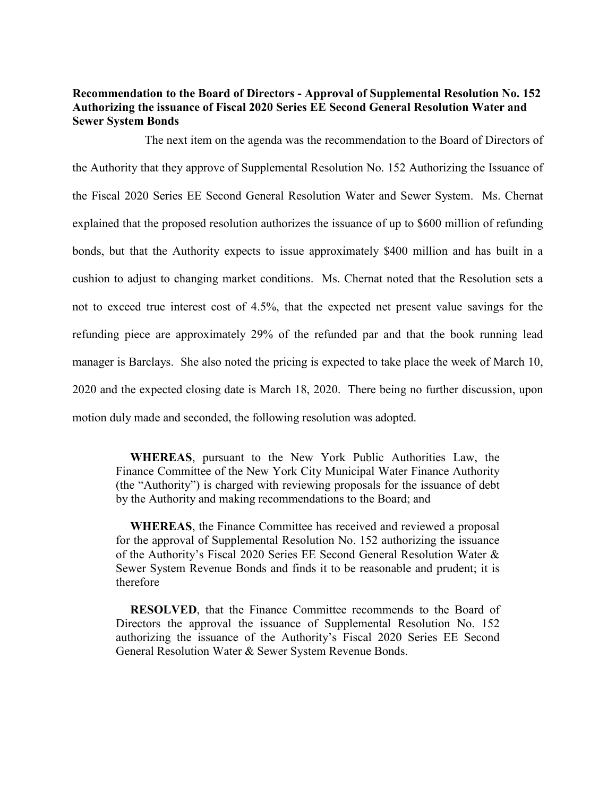## **Recommendation to the Board of Directors - Approval of Supplemental Resolution No. 152 Authorizing the issuance of Fiscal 2020 Series EE Second General Resolution Water and Sewer System Bonds**

The next item on the agenda was the recommendation to the Board of Directors of the Authority that they approve of Supplemental Resolution No. 152 Authorizing the Issuance of the Fiscal 2020 Series EE Second General Resolution Water and Sewer System. Ms. Chernat explained that the proposed resolution authorizes the issuance of up to \$600 million of refunding bonds, but that the Authority expects to issue approximately \$400 million and has built in a cushion to adjust to changing market conditions. Ms. Chernat noted that the Resolution sets a not to exceed true interest cost of 4.5%, that the expected net present value savings for the refunding piece are approximately 29% of the refunded par and that the book running lead manager is Barclays. She also noted the pricing is expected to take place the week of March 10, 2020 and the expected closing date is March 18, 2020. There being no further discussion, upon motion duly made and seconded, the following resolution was adopted.

**WHEREAS**, pursuant to the New York Public Authorities Law, the Finance Committee of the New York City Municipal Water Finance Authority (the "Authority") is charged with reviewing proposals for the issuance of debt by the Authority and making recommendations to the Board; and

**WHEREAS**, the Finance Committee has received and reviewed a proposal for the approval of Supplemental Resolution No. 152 authorizing the issuance of the Authority's Fiscal 2020 Series EE Second General Resolution Water & Sewer System Revenue Bonds and finds it to be reasonable and prudent; it is therefore

**RESOLVED**, that the Finance Committee recommends to the Board of Directors the approval the issuance of Supplemental Resolution No. 152 authorizing the issuance of the Authority's Fiscal 2020 Series EE Second General Resolution Water & Sewer System Revenue Bonds.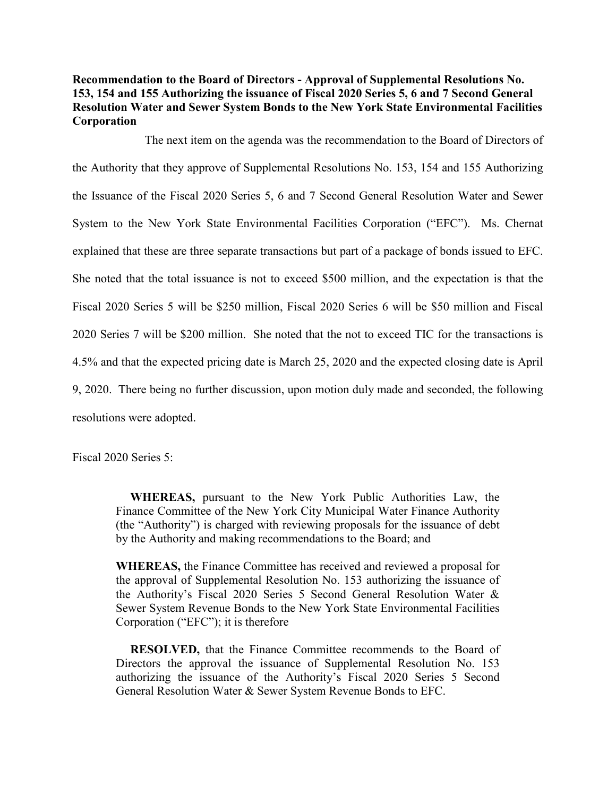**Recommendation to the Board of Directors - Approval of Supplemental Resolutions No. 153, 154 and 155 Authorizing the issuance of Fiscal 2020 Series 5, 6 and 7 Second General Resolution Water and Sewer System Bonds to the New York State Environmental Facilities Corporation** 

The next item on the agenda was the recommendation to the Board of Directors of the Authority that they approve of Supplemental Resolutions No. 153, 154 and 155 Authorizing the Issuance of the Fiscal 2020 Series 5, 6 and 7 Second General Resolution Water and Sewer System to the New York State Environmental Facilities Corporation ("EFC"). Ms. Chernat explained that these are three separate transactions but part of a package of bonds issued to EFC. She noted that the total issuance is not to exceed \$500 million, and the expectation is that the Fiscal 2020 Series 5 will be \$250 million, Fiscal 2020 Series 6 will be \$50 million and Fiscal 2020 Series 7 will be \$200 million. She noted that the not to exceed TIC for the transactions is 4.5% and that the expected pricing date is March 25, 2020 and the expected closing date is April 9, 2020. There being no further discussion, upon motion duly made and seconded, the following resolutions were adopted.

Fiscal 2020 Series 5:

**WHEREAS,** pursuant to the New York Public Authorities Law, the Finance Committee of the New York City Municipal Water Finance Authority (the "Authority") is charged with reviewing proposals for the issuance of debt by the Authority and making recommendations to the Board; and

**WHEREAS,** the Finance Committee has received and reviewed a proposal for the approval of Supplemental Resolution No. 153 authorizing the issuance of the Authority's Fiscal 2020 Series 5 Second General Resolution Water & Sewer System Revenue Bonds to the New York State Environmental Facilities Corporation ("EFC"); it is therefore

**RESOLVED,** that the Finance Committee recommends to the Board of Directors the approval the issuance of Supplemental Resolution No. 153 authorizing the issuance of the Authority's Fiscal 2020 Series 5 Second General Resolution Water & Sewer System Revenue Bonds to EFC.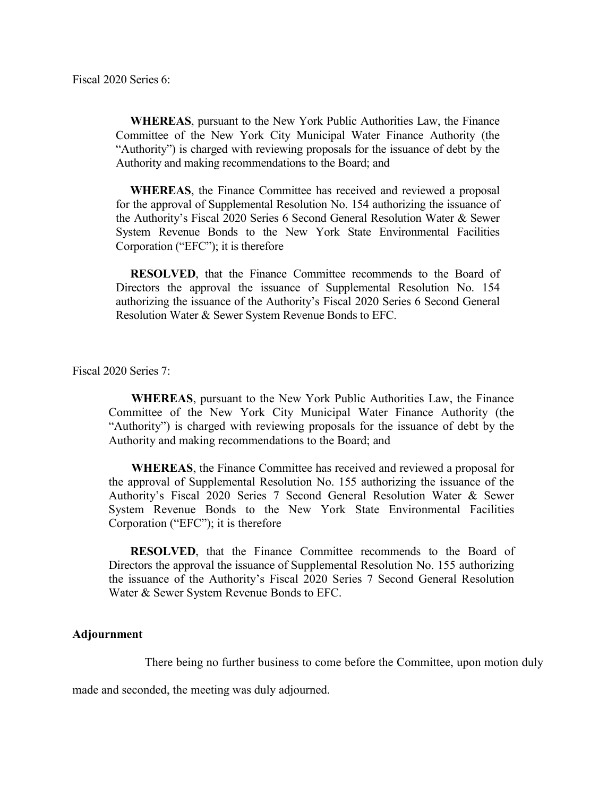**WHEREAS**, pursuant to the New York Public Authorities Law, the Finance Committee of the New York City Municipal Water Finance Authority (the "Authority") is charged with reviewing proposals for the issuance of debt by the Authority and making recommendations to the Board; and

**WHEREAS**, the Finance Committee has received and reviewed a proposal for the approval of Supplemental Resolution No. 154 authorizing the issuance of the Authority's Fiscal 2020 Series 6 Second General Resolution Water & Sewer System Revenue Bonds to the New York State Environmental Facilities Corporation ("EFC"); it is therefore

**RESOLVED**, that the Finance Committee recommends to the Board of Directors the approval the issuance of Supplemental Resolution No. 154 authorizing the issuance of the Authority's Fiscal 2020 Series 6 Second General Resolution Water & Sewer System Revenue Bonds to EFC.

Fiscal 2020 Series 7:

**WHEREAS**, pursuant to the New York Public Authorities Law, the Finance Committee of the New York City Municipal Water Finance Authority (the "Authority") is charged with reviewing proposals for the issuance of debt by the Authority and making recommendations to the Board; and

**WHEREAS**, the Finance Committee has received and reviewed a proposal for the approval of Supplemental Resolution No. 155 authorizing the issuance of the Authority's Fiscal 2020 Series 7 Second General Resolution Water & Sewer System Revenue Bonds to the New York State Environmental Facilities Corporation ("EFC"); it is therefore

**RESOLVED**, that the Finance Committee recommends to the Board of Directors the approval the issuance of Supplemental Resolution No. 155 authorizing the issuance of the Authority's Fiscal 2020 Series 7 Second General Resolution Water & Sewer System Revenue Bonds to EFC.

## **Adjournment**

There being no further business to come before the Committee, upon motion duly

made and seconded, the meeting was duly adjourned.